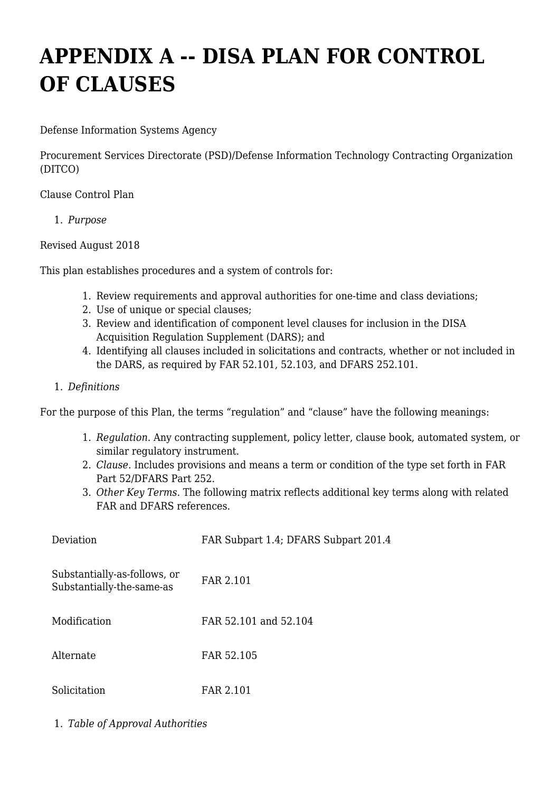## **APPENDIX A -- DISA PLAN FOR CONTROL OF CLAUSES**

Defense Information Systems Agency

Procurement Services Directorate (PSD)/Defense Information Technology Contracting Organization (DITCO)

Clause Control Plan

1. *Purpose*

Revised August 2018

This plan establishes procedures and a system of controls for:

- 1. Review requirements and approval authorities for one-time and class deviations;
- 2. Use of unique or special clauses;
- 3. Review and identification of component level clauses for inclusion in the DISA Acquisition Regulation Supplement (DARS); and
- 4. Identifying all clauses included in solicitations and contracts, whether or not included in the DARS, as required by FAR 52.101, 52.103, and DFARS 252.101.
- 1. *Definitions*

For the purpose of this Plan, the terms "regulation" and "clause" have the following meanings:

- 1. *Regulation*. Any contracting supplement, policy letter, clause book, automated system, or similar regulatory instrument.
- 2. *Clause*. Includes provisions and means a term or condition of the type set forth in FAR Part 52/DFARS Part 252.
- 3. *Other Key Terms*. The following matrix reflects additional key terms along with related FAR and DFARS references.

| Deviation                                                 | FAR Subpart 1.4; DFARS Subpart 201.4 |
|-----------------------------------------------------------|--------------------------------------|
| Substantially-as-follows, or<br>Substantially-the-same-as | FAR 2.101                            |
| Modification                                              | FAR 52.101 and 52.104                |
| Alternate                                                 | FAR 52.105                           |
| Solicitation                                              | FAR 2.101                            |

1. *Table of Approval Authorities*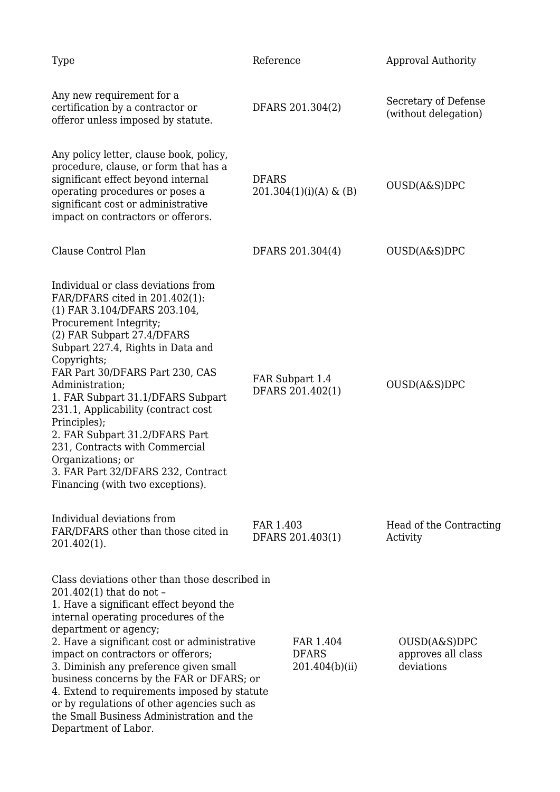| Type                                                                                                                                                                                                                                                                                                                                                                                                                                                                                                                                    | Reference                                   | Approval Authority                               |
|-----------------------------------------------------------------------------------------------------------------------------------------------------------------------------------------------------------------------------------------------------------------------------------------------------------------------------------------------------------------------------------------------------------------------------------------------------------------------------------------------------------------------------------------|---------------------------------------------|--------------------------------------------------|
| Any new requirement for a<br>certification by a contractor or<br>offeror unless imposed by statute.                                                                                                                                                                                                                                                                                                                                                                                                                                     | DFARS 201.304(2)                            | Secretary of Defense<br>(without delegation)     |
| Any policy letter, clause book, policy,<br>procedure, clause, or form that has a<br>significant effect beyond internal<br>operating procedures or poses a<br>significant cost or administrative<br>impact on contractors or offerors.                                                                                                                                                                                                                                                                                                   | <b>DFARS</b><br>$201.304(1)(i)(A)$ & (B)    | OUSD(A&S)DPC                                     |
| Clause Control Plan                                                                                                                                                                                                                                                                                                                                                                                                                                                                                                                     | DFARS 201.304(4)                            | OUSD(A&S)DPC                                     |
| Individual or class deviations from<br>FAR/DFARS cited in 201.402(1):<br>(1) FAR 3.104/DFARS 203.104,<br>Procurement Integrity;<br>(2) FAR Subpart 27.4/DFARS<br>Subpart 227.4, Rights in Data and<br>Copyrights;<br>FAR Part 30/DFARS Part 230, CAS<br>Administration;<br>1. FAR Subpart 31.1/DFARS Subpart<br>231.1, Applicability (contract cost<br>Principles);<br>2. FAR Subpart 31.2/DFARS Part<br>231, Contracts with Commercial<br>Organizations; or<br>3. FAR Part 32/DFARS 232, Contract<br>Financing (with two exceptions).  | FAR Subpart 1.4<br>DFARS 201.402(1)         | OUSD(A&S)DPC                                     |
| Individual deviations from<br>FAR/DFARS other than those cited in<br>201.402(1).                                                                                                                                                                                                                                                                                                                                                                                                                                                        | FAR 1.403<br>DFARS 201.403(1)               | Head of the Contracting<br>Activity              |
| Class deviations other than those described in<br>201.402(1) that do not -<br>1. Have a significant effect beyond the<br>internal operating procedures of the<br>department or agency;<br>2. Have a significant cost or administrative<br>impact on contractors or offerors;<br>3. Diminish any preference given small<br>business concerns by the FAR or DFARS; or<br>4. Extend to requirements imposed by statute<br>or by regulations of other agencies such as<br>the Small Business Administration and the<br>Department of Labor. | FAR 1.404<br><b>DFARS</b><br>201.404(b)(ii) | OUSD(A&S)DPC<br>approves all class<br>deviations |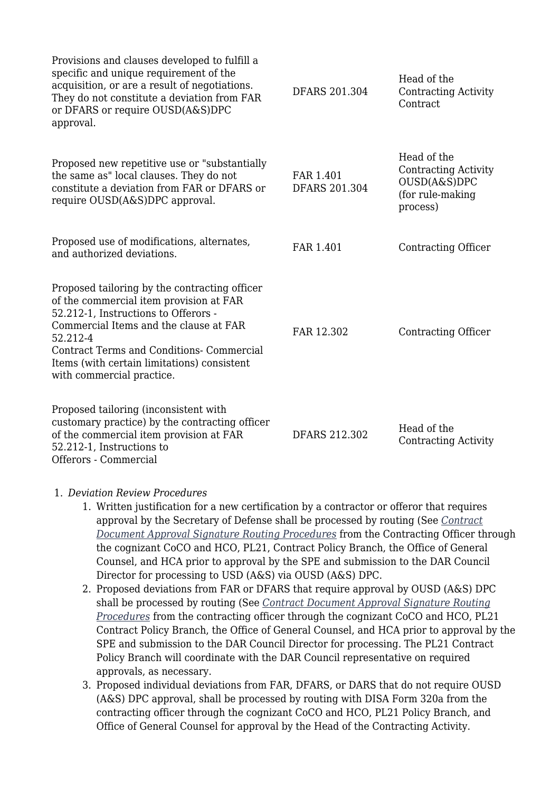| Provisions and clauses developed to fulfill a<br>specific and unique requirement of the<br>acquisition, or are a result of negotiations.<br>They do not constitute a deviation from FAR<br>or DFARS or require OUSD(A&S)DPC<br>approval.                                                                               | <b>DFARS 201.304</b>              | Head of the<br><b>Contracting Activity</b><br>Contract                                     |
|------------------------------------------------------------------------------------------------------------------------------------------------------------------------------------------------------------------------------------------------------------------------------------------------------------------------|-----------------------------------|--------------------------------------------------------------------------------------------|
| Proposed new repetitive use or "substantially<br>the same as" local clauses. They do not<br>constitute a deviation from FAR or DFARS or<br>require OUSD(A&S)DPC approval.                                                                                                                                              | FAR 1.401<br><b>DFARS 201.304</b> | Head of the<br><b>Contracting Activity</b><br>OUSD(A&S)DPC<br>(for rule-making<br>process) |
| Proposed use of modifications, alternates,<br>and authorized deviations.                                                                                                                                                                                                                                               | FAR 1.401                         | Contracting Officer                                                                        |
| Proposed tailoring by the contracting officer<br>of the commercial item provision at FAR<br>52.212-1, Instructions to Offerors -<br>Commercial Items and the clause at FAR<br>52.212-4<br><b>Contract Terms and Conditions- Commercial</b><br>Items (with certain limitations) consistent<br>with commercial practice. | FAR 12.302                        | <b>Contracting Officer</b>                                                                 |
| Proposed tailoring (inconsistent with<br>customary practice) by the contracting officer<br>of the commercial item provision at FAR<br>52.212-1, Instructions to<br>Offerors - Commercial                                                                                                                               | DFARS 212.302                     | Head of the<br><b>Contracting Activity</b>                                                 |

## 1. *Deviation Review Procedures*

- 1. Written justification for a new certification by a contractor or offeror that requires approval by the Secretary of Defense shall be processed by routing (See *[Contract](https://www.ditco.disa.mil/DITCOContractingTemplates/) [Document Approval Signature Routing Procedures](https://www.ditco.disa.mil/DITCOContractingTemplates/)* from the Contracting Officer through the cognizant CoCO and HCO, PL21, Contract Policy Branch, the Office of General Counsel, and HCA prior to approval by the SPE and submission to the DAR Council Director for processing to USD (A&S) via OUSD (A&S) DPC.
- 2. Proposed deviations from FAR or DFARS that require approval by OUSD (A&S) DPC shall be processed by routing (See *[Contract Document Approval Signature Routing](https://www.ditco.disa.mil/DITCOContractingTemplates/) [Procedures](https://www.ditco.disa.mil/DITCOContractingTemplates/)* from the contracting officer through the cognizant CoCO and HCO, PL21 Contract Policy Branch, the Office of General Counsel, and HCA prior to approval by the SPE and submission to the DAR Council Director for processing. The PL21 Contract Policy Branch will coordinate with the DAR Council representative on required approvals, as necessary.
- 3. Proposed individual deviations from FAR, DFARS, or DARS that do not require OUSD (A&S) DPC approval, shall be processed by routing with DISA Form 320a from the contracting officer through the cognizant CoCO and HCO, PL21 Policy Branch, and Office of General Counsel for approval by the Head of the Contracting Activity.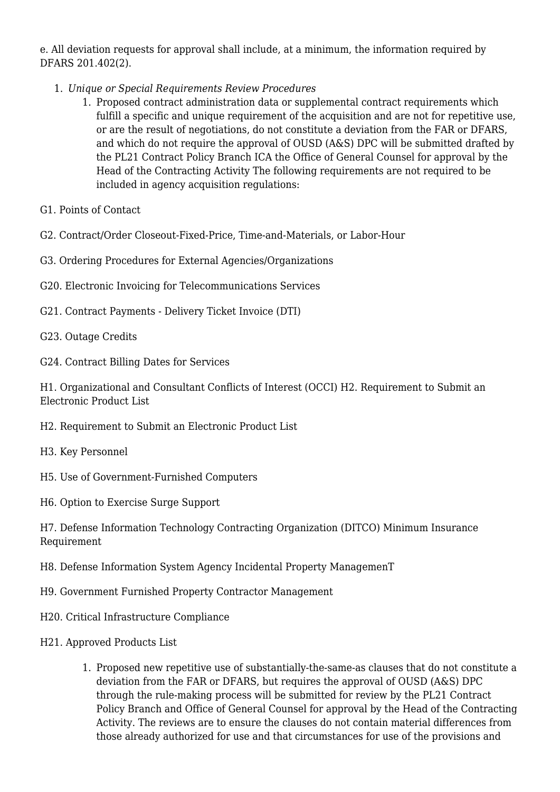e. All deviation requests for approval shall include, at a minimum, the information required by DFARS 201.402(2).

- 1. *Unique or Special Requirements Review Procedures*
	- 1. Proposed contract administration data or supplemental contract requirements which fulfill a specific and unique requirement of the acquisition and are not for repetitive use, or are the result of negotiations, do not constitute a deviation from the FAR or DFARS, and which do not require the approval of OUSD (A&S) DPC will be submitted drafted by the PL21 Contract Policy Branch ICA the Office of General Counsel for approval by the Head of the Contracting Activity The following requirements are not required to be included in agency acquisition regulations:
- G1. Points of Contact
- G2. Contract/Order Closeout-Fixed-Price, Time-and-Materials, or Labor-Hour
- G3. Ordering Procedures for External Agencies/Organizations
- G20. Electronic Invoicing for Telecommunications Services
- G21. Contract Payments Delivery Ticket Invoice (DTI)
- G23. Outage Credits
- G24. Contract Billing Dates for Services

H1. Organizational and Consultant Conflicts of Interest (OCCI) H2. Requirement to Submit an Electronic Product List

- H2. Requirement to Submit an Electronic Product List
- H3. Key Personnel
- H5. Use of Government-Furnished Computers
- H6. Option to Exercise Surge Support

H7. Defense Information Technology Contracting Organization (DITCO) Minimum Insurance Requirement

- H8. Defense Information System Agency Incidental Property ManagemenT
- H9. Government Furnished Property Contractor Management
- H20. Critical Infrastructure Compliance
- H21. Approved Products List
	- 1. Proposed new repetitive use of substantially-the-same-as clauses that do not constitute a deviation from the FAR or DFARS, but requires the approval of OUSD (A&S) DPC through the rule-making process will be submitted for review by the PL21 Contract Policy Branch and Office of General Counsel for approval by the Head of the Contracting Activity. The reviews are to ensure the clauses do not contain material differences from those already authorized for use and that circumstances for use of the provisions and